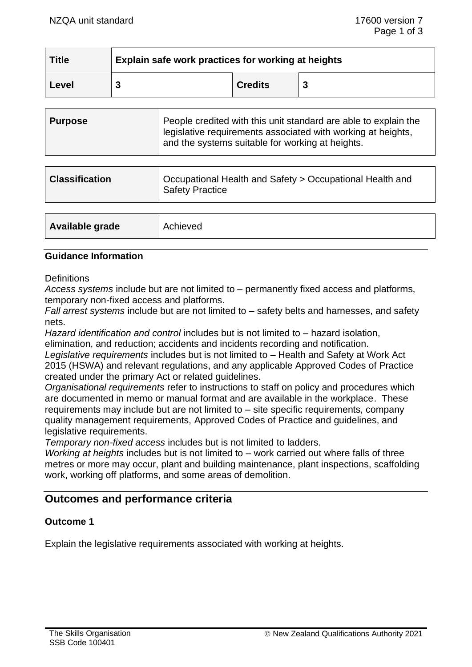| <b>Title</b> | Explain safe work practices for working at heights |                |  |
|--------------|----------------------------------------------------|----------------|--|
| Level        |                                                    | <b>Credits</b> |  |

| <b>Purpose</b> | People credited with this unit standard are able to explain the<br>legislative requirements associated with working at heights,<br>and the systems suitable for working at heights. |
|----------------|-------------------------------------------------------------------------------------------------------------------------------------------------------------------------------------|
|                |                                                                                                                                                                                     |

| <b>Classification</b> | Occupational Health and Safety > Occupational Health and<br><b>Safety Practice</b> |
|-----------------------|------------------------------------------------------------------------------------|
|                       |                                                                                    |

| <b>Available grade</b><br>Achieved |  |
|------------------------------------|--|
|------------------------------------|--|

## **Guidance Information**

**Definitions** 

*Access systems* include but are not limited to – permanently fixed access and platforms, temporary non-fixed access and platforms.

*Fall arrest systems* include but are not limited to – safety belts and harnesses, and safety nets.

*Hazard identification and control* includes but is not limited to – hazard isolation, elimination, and reduction; accidents and incidents recording and notification.

*Legislative requirements* includes but is not limited to – Health and Safety at Work Act 2015 (HSWA) and relevant regulations, and any applicable Approved Codes of Practice created under the primary Act or related guidelines.

*Organisational requirements* refer to instructions to staff on policy and procedures which are documented in memo or manual format and are available in the workplace. These requirements may include but are not limited to – site specific requirements, company quality management requirements, Approved Codes of Practice and guidelines, and legislative requirements.

*Temporary non-fixed access* includes but is not limited to ladders.

*Working at heights* includes but is not limited to – work carried out where falls of three metres or more may occur, plant and building maintenance, plant inspections, scaffolding work, working off platforms, and some areas of demolition.

# **Outcomes and performance criteria**

#### **Outcome 1**

Explain the legislative requirements associated with working at heights.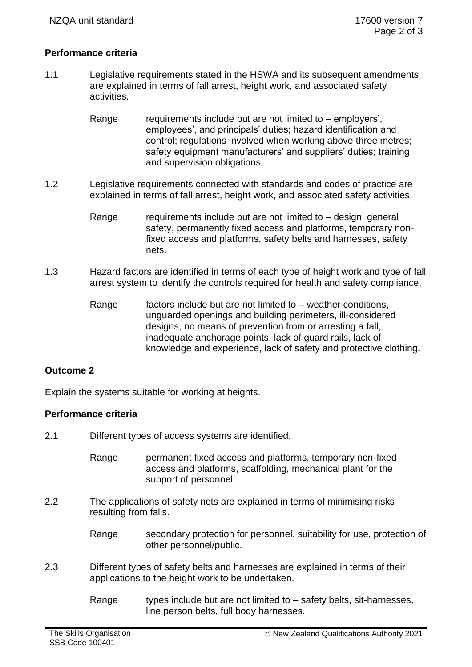## **Performance criteria**

- 1.1 Legislative requirements stated in the HSWA and its subsequent amendments are explained in terms of fall arrest, height work, and associated safety activities.
	- Range requirements include but are not limited to employers'. employees', and principals' duties; hazard identification and control; regulations involved when working above three metres; safety equipment manufacturers' and suppliers' duties; training and supervision obligations.
- 1.2 Legislative requirements connected with standards and codes of practice are explained in terms of fall arrest, height work, and associated safety activities.
	- Range requirements include but are not limited to  $-$  design, general safety, permanently fixed access and platforms, temporary nonfixed access and platforms, safety belts and harnesses, safety nets.
- 1.3 Hazard factors are identified in terms of each type of height work and type of fall arrest system to identify the controls required for health and safety compliance.
	- Range factors include but are not limited to weather conditions, unguarded openings and building perimeters, ill-considered designs, no means of prevention from or arresting a fall. inadequate anchorage points, lack of guard rails, lack of knowledge and experience, lack of safety and protective clothing.

#### **Outcome 2**

Explain the systems suitable for working at heights.

#### **Performance criteria**

- 2.1 Different types of access systems are identified.
	- Range permanent fixed access and platforms, temporary non-fixed access and platforms, scaffolding, mechanical plant for the support of personnel.
- 2.2 The applications of safety nets are explained in terms of minimising risks resulting from falls.
	- Range secondary protection for personnel, suitability for use, protection of other personnel/public.
- 2.3 Different types of safety belts and harnesses are explained in terms of their applications to the height work to be undertaken.
	- Range types include but are not limited to  $-$  safety belts, sit-harnesses, line person belts, full body harnesses.